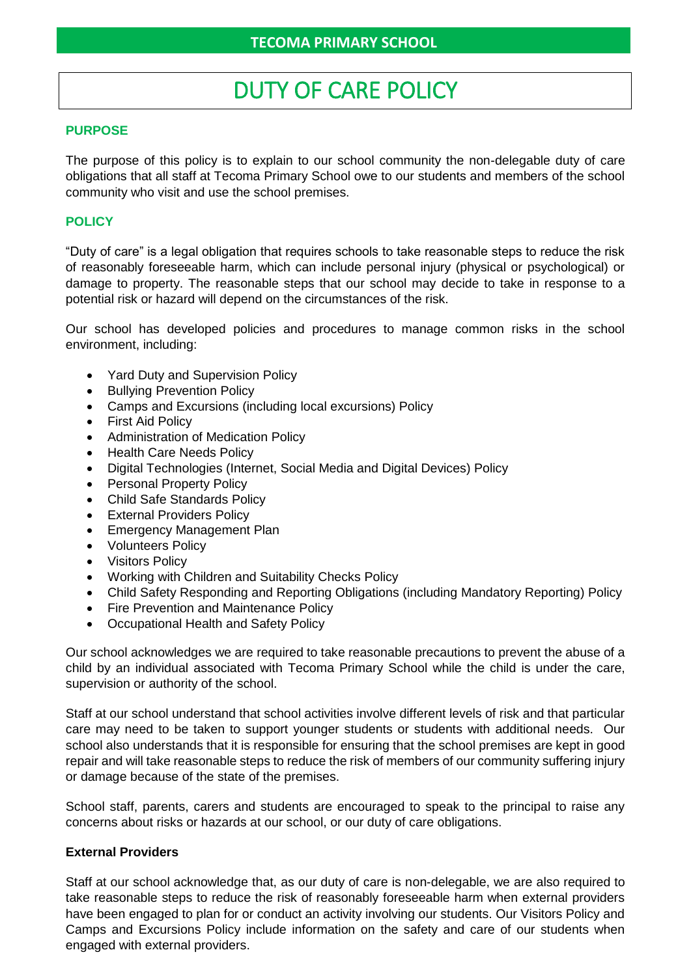# DUTY OF CARE POLICY

## **PURPOSE**

The purpose of this policy is to explain to our school community the non-delegable duty of care obligations that all staff at Tecoma Primary School owe to our students and members of the school community who visit and use the school premises.

### **POLICY**

"Duty of care" is a legal obligation that requires schools to take reasonable steps to reduce the risk of reasonably foreseeable harm, which can include personal injury (physical or psychological) or damage to property. The reasonable steps that our school may decide to take in response to a potential risk or hazard will depend on the circumstances of the risk.

Our school has developed policies and procedures to manage common risks in the school environment, including:

- Yard Duty and Supervision Policy
- Bullying Prevention Policy
- Camps and Excursions (including local excursions) Policy
- First Aid Policy
- Administration of Medication Policy
- Health Care Needs Policy
- Digital Technologies (Internet, Social Media and Digital Devices) Policy
- Personal Property Policy
- Child Safe Standards Policy
- External Providers Policy
- Emergency Management Plan
- Volunteers Policy
- Visitors Policy
- Working with Children and Suitability Checks Policy
- Child Safety Responding and Reporting Obligations (including Mandatory Reporting) Policy
- Fire Prevention and Maintenance Policy
- Occupational Health and Safety Policy

Our school acknowledges we are required to take reasonable precautions to prevent the abuse of a child by an individual associated with Tecoma Primary School while the child is under the care, supervision or authority of the school.

Staff at our school understand that school activities involve different levels of risk and that particular care may need to be taken to support younger students or students with additional needs. Our school also understands that it is responsible for ensuring that the school premises are kept in good repair and will take reasonable steps to reduce the risk of members of our community suffering injury or damage because of the state of the premises.

School staff, parents, carers and students are encouraged to speak to the principal to raise any concerns about risks or hazards at our school, or our duty of care obligations.

#### **External Providers**

Staff at our school acknowledge that, as our duty of care is non-delegable, we are also required to take reasonable steps to reduce the risk of reasonably foreseeable harm when external providers have been engaged to plan for or conduct an activity involving our students. Our Visitors Policy and Camps and Excursions Policy include information on the safety and care of our students when engaged with external providers.